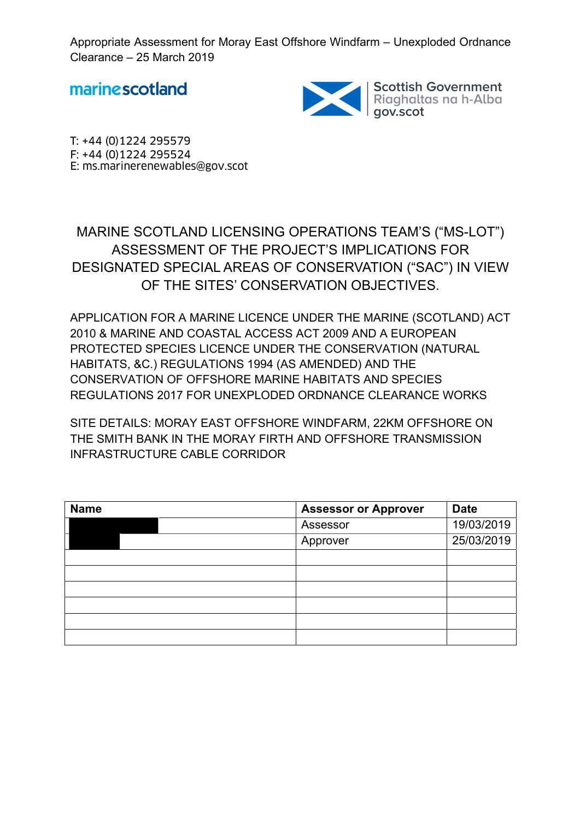marinescotland



Scottish Government<br>Riaghaltas na h-Alba<br>gov.scot

T: +44 (0)1224 295579 F: +44 (0)1224 295524 E: ms.marinerenewables@gov.scot

MARINE SCOTLAND LICENSING OPERATIONS TEAM'S ("MS-LOT") ASSESSMENT OF THE PROJECT'S IMPLICATIONS FOR DESIGNATED SPECIAL AREAS OF CONSERVATION ("SAC") IN VIEW OF THE SITES' CONSERVATION OBJECTIVES.

APPLICATION FOR A MARINE LICENCE UNDER THE MARINE (SCOTLAND) ACT 2010 & MARINE AND COASTAL ACCESS ACT 2009 AND A EUROPEAN PROTECTED SPECIES LICENCE UNDER THE CONSERVATION (NATURAL HABITATS, &C.) REGULATIONS 1994 (AS AMENDED) AND THE CONSERVATION OF OFFSHORE MARINE HABITATS AND SPECIES REGULATIONS 2017 FOR UNEXPLODED ORDNANCE CLEARANCE WORKS

SITE DETAILS: MORAY EAST OFFSHORE WINDFARM, 22KM OFFSHORE ON THE SMITH BANK IN THE MORAY FIRTH AND OFFSHORE TRANSMISSION INFRASTRUCTURE CABLE CORRIDOR

| <b>Name</b> | <b>Assessor or Approver</b> | <b>Date</b> |
|-------------|-----------------------------|-------------|
|             | Assessor                    | 19/03/2019  |
|             | Approver                    | 25/03/2019  |
|             |                             |             |
|             |                             |             |
|             |                             |             |
|             |                             |             |
|             |                             |             |
|             |                             |             |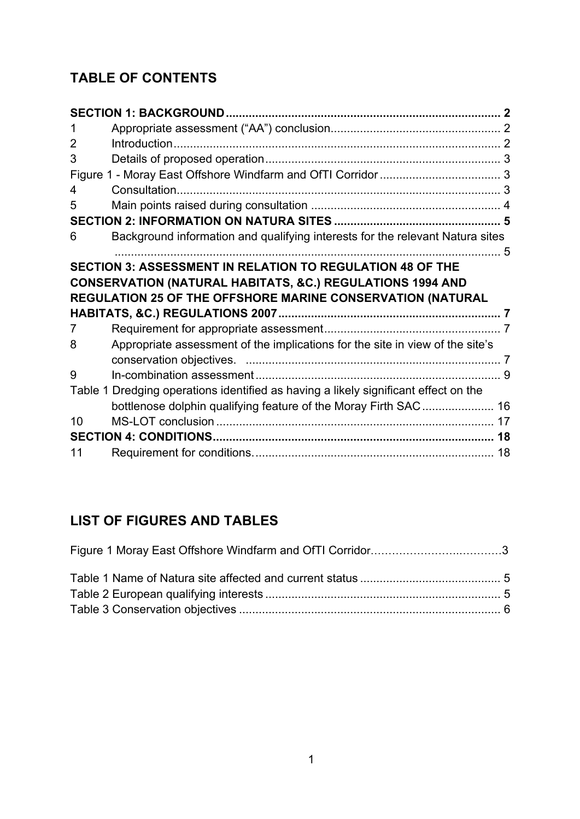## **TABLE OF CONTENTS**

| 1  |                                                                                     |  |
|----|-------------------------------------------------------------------------------------|--|
| 2  |                                                                                     |  |
| 3  |                                                                                     |  |
|    |                                                                                     |  |
| 4  |                                                                                     |  |
| 5  |                                                                                     |  |
|    |                                                                                     |  |
| 6  | Background information and qualifying interests for the relevant Natura sites       |  |
|    |                                                                                     |  |
|    | <b>SECTION 3: ASSESSMENT IN RELATION TO REGULATION 48 OF THE</b>                    |  |
|    |                                                                                     |  |
|    | <b>CONSERVATION (NATURAL HABITATS, &amp;C.) REGULATIONS 1994 AND</b>                |  |
|    | REGULATION 25 OF THE OFFSHORE MARINE CONSERVATION (NATURAL                          |  |
|    |                                                                                     |  |
| 7  |                                                                                     |  |
| 8  | Appropriate assessment of the implications for the site in view of the site's       |  |
|    |                                                                                     |  |
| 9  |                                                                                     |  |
|    | Table 1 Dredging operations identified as having a likely significant effect on the |  |
|    | bottlenose dolphin qualifying feature of the Moray Firth SAC 16                     |  |
| 10 |                                                                                     |  |
|    |                                                                                     |  |

## **LIST OF FIGURES AND TABLES**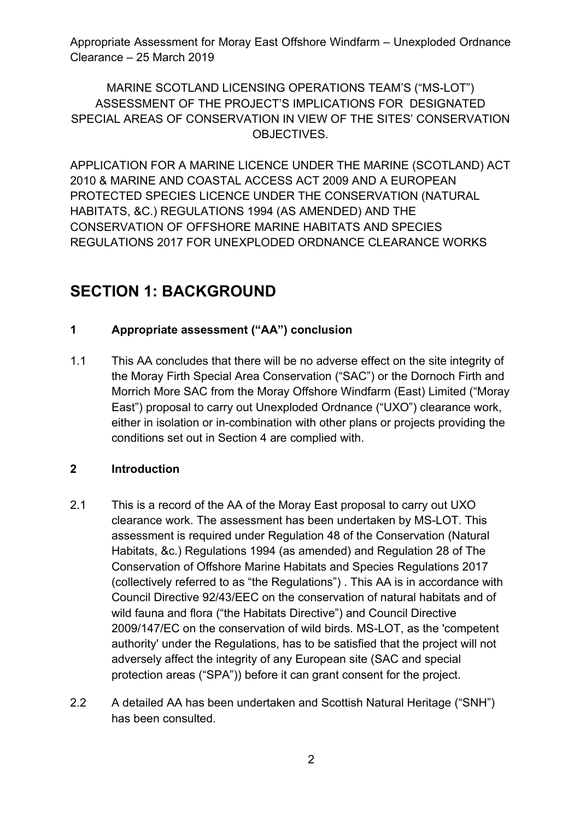## MARINE SCOTLAND LICENSING OPERATIONS TEAM'S ("MS-LOT") ASSESSMENT OF THE PROJECT'S IMPLICATIONS FOR DESIGNATED SPECIAL AREAS OF CONSERVATION IN VIEW OF THE SITES' CONSERVATION OBJECTIVES.

APPLICATION FOR A MARINE LICENCE UNDER THE MARINE (SCOTLAND) ACT 2010 & MARINE AND COASTAL ACCESS ACT 2009 AND A EUROPEAN PROTECTED SPECIES LICENCE UNDER THE CONSERVATION (NATURAL HABITATS, &C.) REGULATIONS 1994 (AS AMENDED) AND THE CONSERVATION OF OFFSHORE MARINE HABITATS AND SPECIES REGULATIONS 2017 FOR UNEXPLODED ORDNANCE CLEARANCE WORKS

## **SECTION 1: BACKGROUND**

## **1 Appropriate assessment ("AA") conclusion**

1.1 This AA concludes that there will be no adverse effect on the site integrity of the Moray Firth Special Area Conservation ("SAC") or the Dornoch Firth and Morrich More SAC from the Moray Offshore Windfarm (East) Limited ("Moray East") proposal to carry out Unexploded Ordnance ("UXO") clearance work, either in isolation or in-combination with other plans or projects providing the conditions set out in Section 4 are complied with.

## **2 Introduction**

- 2.1 This is a record of the AA of the Moray East proposal to carry out UXO clearance work. The assessment has been undertaken by MS-LOT. This assessment is required under Regulation 48 of the Conservation (Natural Habitats, &c.) Regulations 1994 (as amended) and Regulation 28 of The Conservation of Offshore Marine Habitats and Species Regulations 2017 (collectively referred to as "the Regulations") . This AA is in accordance with Council Directive 92/43/EEC on the conservation of natural habitats and of wild fauna and flora ("the Habitats Directive") and Council Directive 2009/147/EC on the conservation of wild birds. MS-LOT, as the 'competent authority' under the Regulations, has to be satisfied that the project will not adversely affect the integrity of any European site (SAC and special protection areas ("SPA")) before it can grant consent for the project.
- 2.2 A detailed AA has been undertaken and Scottish Natural Heritage ("SNH") has been consulted.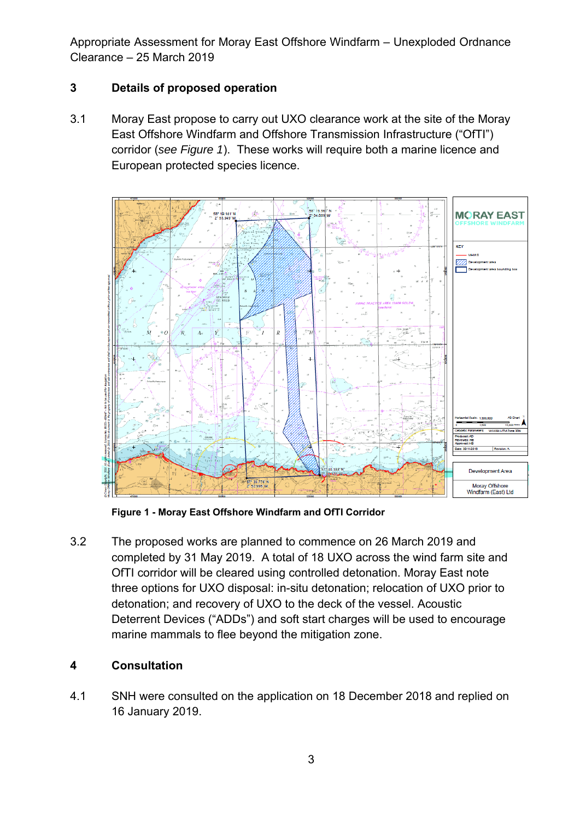## **3 Details of proposed operation**

3.1 Moray East propose to carry out UXO clearance work at the site of the Moray East Offshore Windfarm and Offshore Transmission Infrastructure ("OfTI") corridor (*see Figure 1*). These works will require both a marine licence and European protected species licence.



**Figure 1 - Moray East Offshore Windfarm and OfTI Corridor** 

3.2 The proposed works are planned to commence on 26 March 2019 and completed by 31 May 2019. A total of 18 UXO across the wind farm site and OfTI corridor will be cleared using controlled detonation. Moray East note three options for UXO disposal: in-situ detonation; relocation of UXO prior to detonation; and recovery of UXO to the deck of the vessel. Acoustic Deterrent Devices ("ADDs") and soft start charges will be used to encourage marine mammals to flee beyond the mitigation zone.

#### **4 Consultation**

4.1 SNH were consulted on the application on 18 December 2018 and replied on 16 January 2019.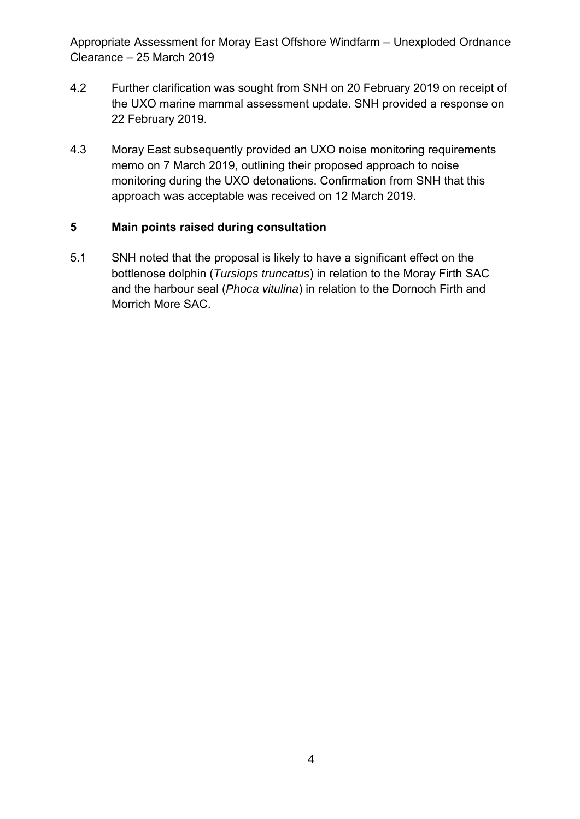- 4.2 Further clarification was sought from SNH on 20 February 2019 on receipt of the UXO marine mammal assessment update. SNH provided a response on 22 February 2019.
- 4.3 Moray East subsequently provided an UXO noise monitoring requirements memo on 7 March 2019, outlining their proposed approach to noise monitoring during the UXO detonations. Confirmation from SNH that this approach was acceptable was received on 12 March 2019.

#### **5 Main points raised during consultation**

5.1 SNH noted that the proposal is likely to have a significant effect on the bottlenose dolphin (*Tursiops truncatus*) in relation to the Moray Firth SAC and the harbour seal (*Phoca vitulina*) in relation to the Dornoch Firth and Morrich More SAC.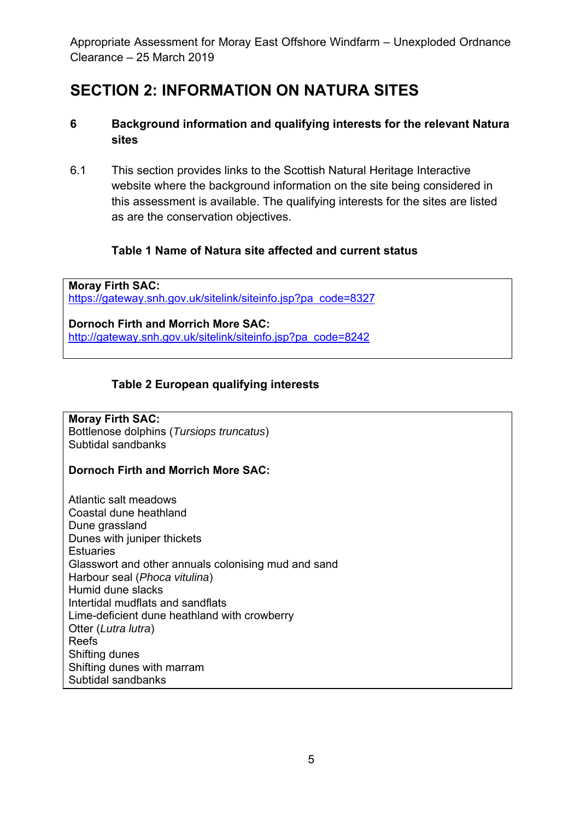## **SECTION 2: INFORMATION ON NATURA SITES**

### **6 Background information and qualifying interests for the relevant Natura sites**

6.1 This section provides links to the Scottish Natural Heritage Interactive website where the background information on the site being considered in this assessment is available. The qualifying interests for the sites are listed as are the conservation objectives.

### **Table 1 Name of Natura site affected and current status**

**Moray Firth SAC:**  https://gateway.snh.gov.uk/sitelink/siteinfo.jsp?pa code=8327

**Dornoch Firth and Morrich More SAC:**  http://gateway.snh.gov.uk/sitelink/siteinfo.jsp?pa code=8242

## **Table 2 European qualifying interests**

#### **Moray Firth SAC:**  Bottlenose dolphins (*Tursiops truncatus*) Subtidal sandbanks

#### **Dornoch Firth and Morrich More SAC:**

Atlantic salt meadows Coastal dune heathland Dune grassland Dunes with juniper thickets **Estuaries** Glasswort and other annuals colonising mud and sand Harbour seal (*Phoca vitulina*) Humid dune slacks Intertidal mudflats and sandflats Lime-deficient dune heathland with crowberry Otter (*Lutra lutra*) Reefs Shifting dunes Shifting dunes with marram Subtidal sandbanks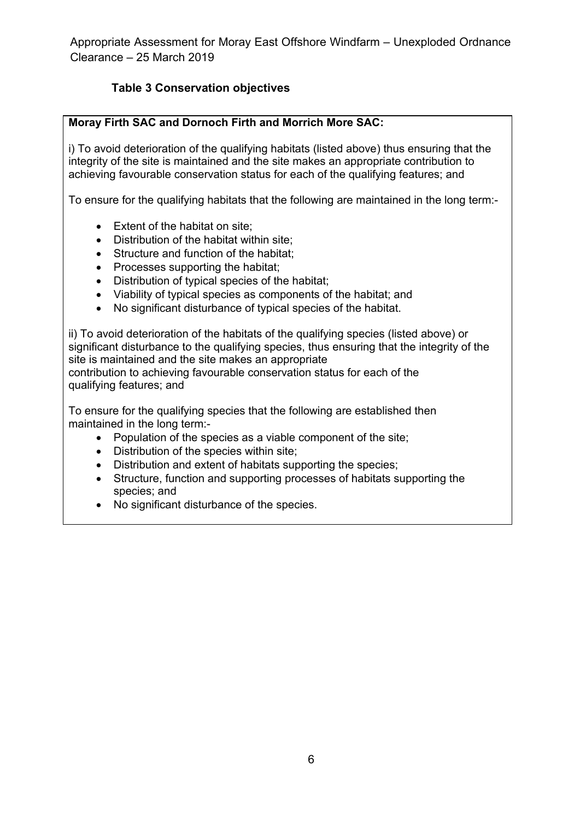## **Table 3 Conservation objectives**

#### **Moray Firth SAC and Dornoch Firth and Morrich More SAC:**

i) To avoid deterioration of the qualifying habitats (listed above) thus ensuring that the integrity of the site is maintained and the site makes an appropriate contribution to achieving favourable conservation status for each of the qualifying features; and

To ensure for the qualifying habitats that the following are maintained in the long term:-

- Extent of the habitat on site:
- Distribution of the habitat within site;
- Structure and function of the habitat:
- Processes supporting the habitat;
- Distribution of typical species of the habitat;
- Viability of typical species as components of the habitat; and
- No significant disturbance of typical species of the habitat.

ii) To avoid deterioration of the habitats of the qualifying species (listed above) or significant disturbance to the qualifying species, thus ensuring that the integrity of the site is maintained and the site makes an appropriate contribution to achieving favourable conservation status for each of the

qualifying features; and

To ensure for the qualifying species that the following are established then maintained in the long term:-

- Population of the species as a viable component of the site;
- Distribution of the species within site;
- Distribution and extent of habitats supporting the species;
- Structure, function and supporting processes of habitats supporting the species; and
- No significant disturbance of the species.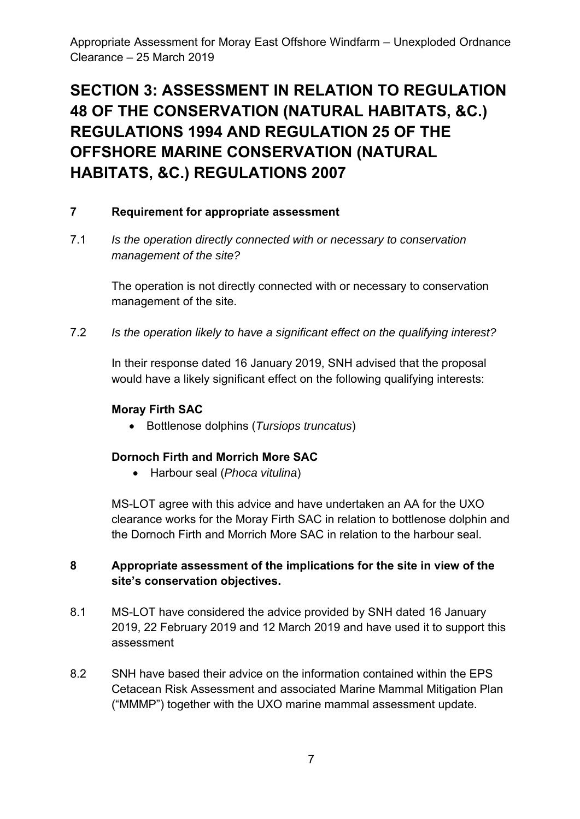## **SECTION 3: ASSESSMENT IN RELATION TO REGULATION 48 OF THE CONSERVATION (NATURAL HABITATS, &C.) REGULATIONS 1994 AND REGULATION 25 OF THE OFFSHORE MARINE CONSERVATION (NATURAL HABITATS, &C.) REGULATIONS 2007**

#### **7 Requirement for appropriate assessment**

7.1 *Is the operation directly connected with or necessary to conservation management of the site?* 

> The operation is not directly connected with or necessary to conservation management of the site.

7.2 *Is the operation likely to have a significant effect on the qualifying interest?*

In their response dated 16 January 2019, SNH advised that the proposal would have a likely significant effect on the following qualifying interests:

#### **Moray Firth SAC**

Bottlenose dolphins (*Tursiops truncatus*)

#### **Dornoch Firth and Morrich More SAC**

Harbour seal (*Phoca vitulina*)

MS-LOT agree with this advice and have undertaken an AA for the UXO clearance works for the Moray Firth SAC in relation to bottlenose dolphin and the Dornoch Firth and Morrich More SAC in relation to the harbour seal.

#### **8 Appropriate assessment of the implications for the site in view of the site's conservation objectives.**

- 8.1 MS-LOT have considered the advice provided by SNH dated 16 January 2019, 22 February 2019 and 12 March 2019 and have used it to support this assessment
- 8.2 SNH have based their advice on the information contained within the EPS Cetacean Risk Assessment and associated Marine Mammal Mitigation Plan ("MMMP") together with the UXO marine mammal assessment update.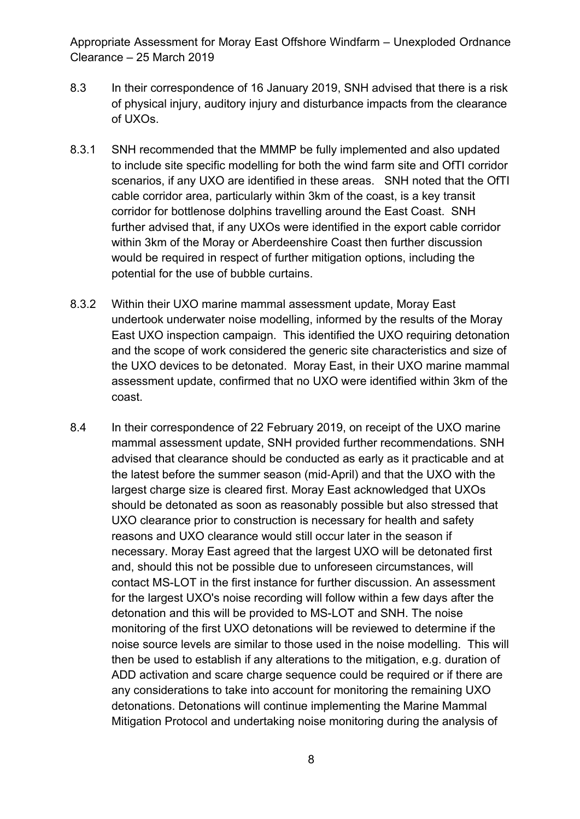- 8.3 In their correspondence of 16 January 2019, SNH advised that there is a risk of physical injury, auditory injury and disturbance impacts from the clearance of UXOs.
- 8.3.1 SNH recommended that the MMMP be fully implemented and also updated to include site specific modelling for both the wind farm site and OfTI corridor scenarios, if any UXO are identified in these areas. SNH noted that the OfTI cable corridor area, particularly within 3km of the coast, is a key transit corridor for bottlenose dolphins travelling around the East Coast. SNH further advised that, if any UXOs were identified in the export cable corridor within 3km of the Moray or Aberdeenshire Coast then further discussion would be required in respect of further mitigation options, including the potential for the use of bubble curtains.
- 8.3.2 Within their UXO marine mammal assessment update, Moray East undertook underwater noise modelling, informed by the results of the Moray East UXO inspection campaign. This identified the UXO requiring detonation and the scope of work considered the generic site characteristics and size of the UXO devices to be detonated. Moray East, in their UXO marine mammal assessment update, confirmed that no UXO were identified within 3km of the coast.
- 8.4 In their correspondence of 22 February 2019, on receipt of the UXO marine mammal assessment update, SNH provided further recommendations. SNH advised that clearance should be conducted as early as it practicable and at the latest before the summer season (mid‐April) and that the UXO with the largest charge size is cleared first. Moray East acknowledged that UXOs should be detonated as soon as reasonably possible but also stressed that UXO clearance prior to construction is necessary for health and safety reasons and UXO clearance would still occur later in the season if necessary. Moray East agreed that the largest UXO will be detonated first and, should this not be possible due to unforeseen circumstances, will contact MS-LOT in the first instance for further discussion. An assessment for the largest UXO's noise recording will follow within a few days after the detonation and this will be provided to MS-LOT and SNH. The noise monitoring of the first UXO detonations will be reviewed to determine if the noise source levels are similar to those used in the noise modelling. This will then be used to establish if any alterations to the mitigation, e.g. duration of ADD activation and scare charge sequence could be required or if there are any considerations to take into account for monitoring the remaining UXO detonations. Detonations will continue implementing the Marine Mammal Mitigation Protocol and undertaking noise monitoring during the analysis of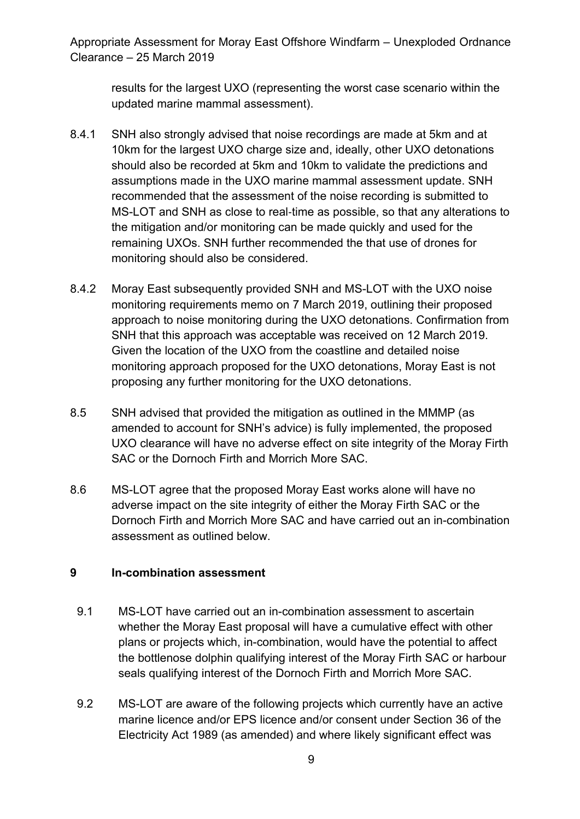results for the largest UXO (representing the worst case scenario within the updated marine mammal assessment).

- 8.4.1 SNH also strongly advised that noise recordings are made at 5km and at 10km for the largest UXO charge size and, ideally, other UXO detonations should also be recorded at 5km and 10km to validate the predictions and assumptions made in the UXO marine mammal assessment update. SNH recommended that the assessment of the noise recording is submitted to MS-LOT and SNH as close to real‐time as possible, so that any alterations to the mitigation and/or monitoring can be made quickly and used for the remaining UXOs. SNH further recommended the that use of drones for monitoring should also be considered.
- 8.4.2 Moray East subsequently provided SNH and MS-LOT with the UXO noise monitoring requirements memo on 7 March 2019, outlining their proposed approach to noise monitoring during the UXO detonations. Confirmation from SNH that this approach was acceptable was received on 12 March 2019. Given the location of the UXO from the coastline and detailed noise monitoring approach proposed for the UXO detonations, Moray East is not proposing any further monitoring for the UXO detonations.
- 8.5 SNH advised that provided the mitigation as outlined in the MMMP (as amended to account for SNH's advice) is fully implemented, the proposed UXO clearance will have no adverse effect on site integrity of the Moray Firth SAC or the Dornoch Firth and Morrich More SAC.
- 8.6 MS-LOT agree that the proposed Moray East works alone will have no adverse impact on the site integrity of either the Moray Firth SAC or the Dornoch Firth and Morrich More SAC and have carried out an in-combination assessment as outlined below.

#### **9 In-combination assessment**

- 9.1 MS-LOT have carried out an in-combination assessment to ascertain whether the Moray East proposal will have a cumulative effect with other plans or projects which, in-combination, would have the potential to affect the bottlenose dolphin qualifying interest of the Moray Firth SAC or harbour seals qualifying interest of the Dornoch Firth and Morrich More SAC.
- 9.2 MS-LOT are aware of the following projects which currently have an active marine licence and/or EPS licence and/or consent under Section 36 of the Electricity Act 1989 (as amended) and where likely significant effect was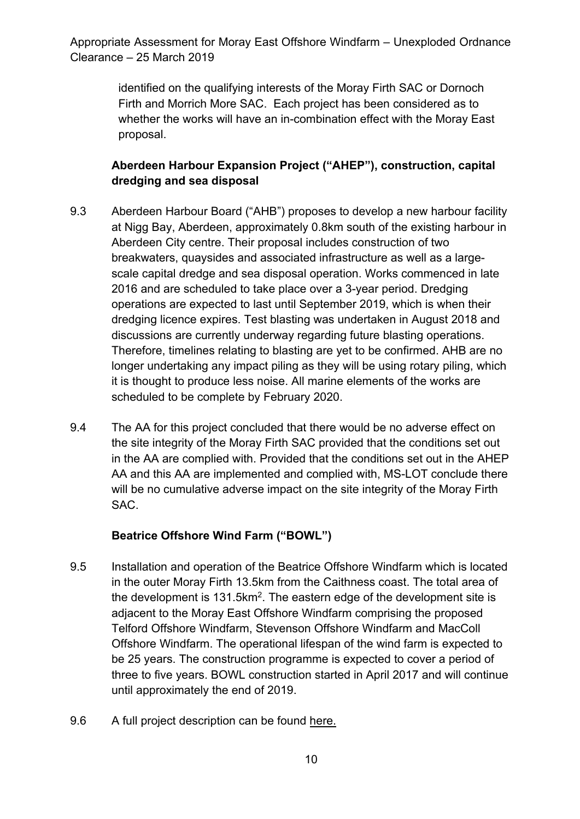> identified on the qualifying interests of the Moray Firth SAC or Dornoch Firth and Morrich More SAC. Each project has been considered as to whether the works will have an in-combination effect with the Moray East proposal.

## **Aberdeen Harbour Expansion Project ("AHEP"), construction, capital dredging and sea disposal**

- 9.3 Aberdeen Harbour Board ("AHB") proposes to develop a new harbour facility at Nigg Bay, Aberdeen, approximately 0.8km south of the existing harbour in Aberdeen City centre. Their proposal includes construction of two breakwaters, quaysides and associated infrastructure as well as a largescale capital dredge and sea disposal operation. Works commenced in late 2016 and are scheduled to take place over a 3-year period. Dredging operations are expected to last until September 2019, which is when their dredging licence expires. Test blasting was undertaken in August 2018 and discussions are currently underway regarding future blasting operations. Therefore, timelines relating to blasting are yet to be confirmed. AHB are no longer undertaking any impact piling as they will be using rotary piling, which it is thought to produce less noise. All marine elements of the works are scheduled to be complete by February 2020.
- 9.4 The AA for this project concluded that there would be no adverse effect on the site integrity of the Moray Firth SAC provided that the conditions set out in the AA are complied with. Provided that the conditions set out in the AHEP AA and this AA are implemented and complied with, MS-LOT conclude there will be no cumulative adverse impact on the site integrity of the Moray Firth SAC.

#### **Beatrice Offshore Wind Farm ("BOWL")**

- 9.5 Installation and operation of the Beatrice Offshore Windfarm which is located in the outer Moray Firth 13.5km from the Caithness coast. The total area of the development is  $131.5 \text{km}^2$ . The eastern edge of the development site is adjacent to the Moray East Offshore Windfarm comprising the proposed Telford Offshore Windfarm, Stevenson Offshore Windfarm and MacColl Offshore Windfarm. The operational lifespan of the wind farm is expected to be 25 years. The construction programme is expected to cover a period of three to five years. BOWL construction started in April 2017 and will continue until approximately the end of 2019.
- 9.6 A full project description can be found here.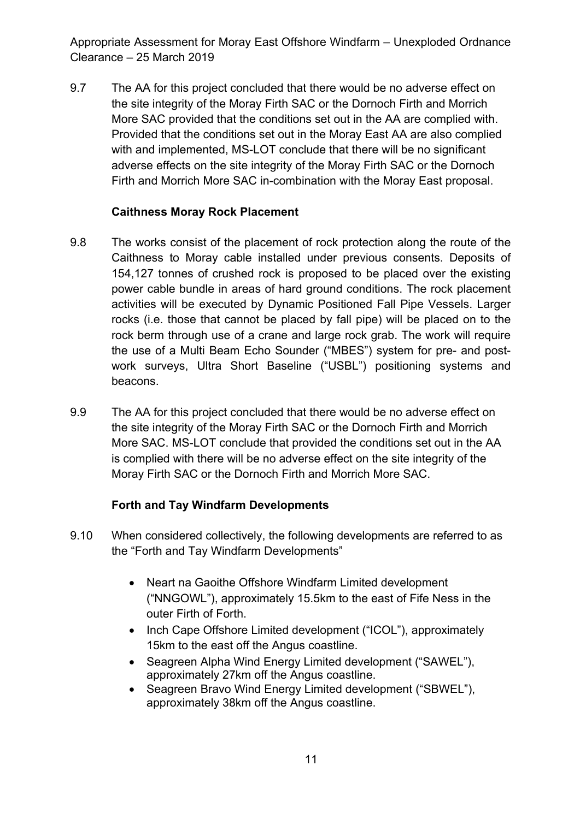9.7 The AA for this project concluded that there would be no adverse effect on the site integrity of the Moray Firth SAC or the Dornoch Firth and Morrich More SAC provided that the conditions set out in the AA are complied with. Provided that the conditions set out in the Moray East AA are also complied with and implemented, MS-LOT conclude that there will be no significant adverse effects on the site integrity of the Moray Firth SAC or the Dornoch Firth and Morrich More SAC in-combination with the Moray East proposal.

### **Caithness Moray Rock Placement**

- 9.8 The works consist of the placement of rock protection along the route of the Caithness to Moray cable installed under previous consents. Deposits of 154,127 tonnes of crushed rock is proposed to be placed over the existing power cable bundle in areas of hard ground conditions. The rock placement activities will be executed by Dynamic Positioned Fall Pipe Vessels. Larger rocks (i.e. those that cannot be placed by fall pipe) will be placed on to the rock berm through use of a crane and large rock grab. The work will require the use of a Multi Beam Echo Sounder ("MBES") system for pre- and postwork surveys, Ultra Short Baseline ("USBL") positioning systems and beacons.
- 9.9 The AA for this project concluded that there would be no adverse effect on the site integrity of the Moray Firth SAC or the Dornoch Firth and Morrich More SAC. MS-LOT conclude that provided the conditions set out in the AA is complied with there will be no adverse effect on the site integrity of the Moray Firth SAC or the Dornoch Firth and Morrich More SAC.

## **Forth and Tay Windfarm Developments**

- 9.10 When considered collectively, the following developments are referred to as the "Forth and Tay Windfarm Developments"
	- Neart na Gaoithe Offshore Windfarm Limited development ("NNGOWL"), approximately 15.5km to the east of Fife Ness in the outer Firth of Forth.
	- Inch Cape Offshore Limited development ("ICOL"), approximately 15km to the east off the Angus coastline.
	- Seagreen Alpha Wind Energy Limited development ("SAWEL"), approximately 27km off the Angus coastline.
	- Seagreen Bravo Wind Energy Limited development ("SBWEL"), approximately 38km off the Angus coastline.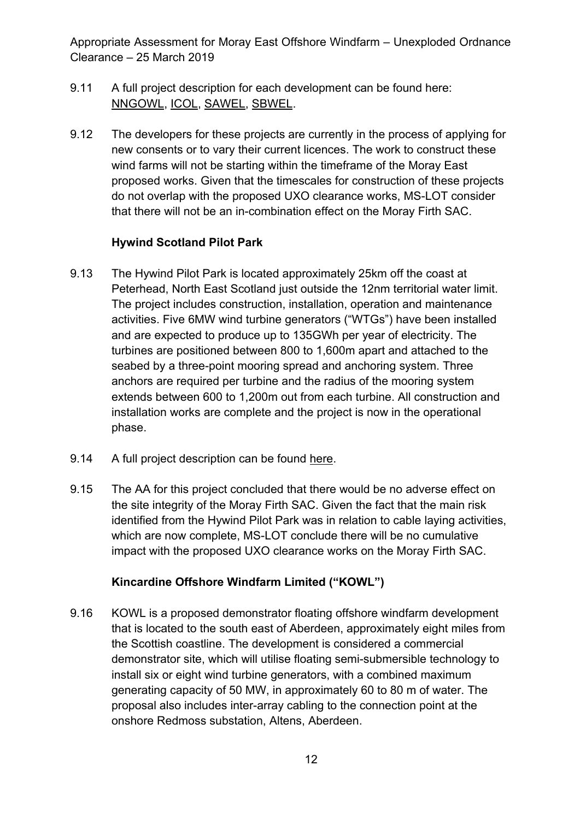- 9.11 A full project description for each development can be found here: NNGOWL, ICOL, SAWEL, SBWEL.
- 9.12 The developers for these projects are currently in the process of applying for new consents or to vary their current licences. The work to construct these wind farms will not be starting within the timeframe of the Moray East proposed works. Given that the timescales for construction of these projects do not overlap with the proposed UXO clearance works, MS-LOT consider that there will not be an in-combination effect on the Moray Firth SAC.

#### **Hywind Scotland Pilot Park**

- 9.13 The Hywind Pilot Park is located approximately 25km off the coast at Peterhead, North East Scotland just outside the 12nm territorial water limit. The project includes construction, installation, operation and maintenance activities. Five 6MW wind turbine generators ("WTGs") have been installed and are expected to produce up to 135GWh per year of electricity. The turbines are positioned between 800 to 1,600m apart and attached to the seabed by a three-point mooring spread and anchoring system. Three anchors are required per turbine and the radius of the mooring system extends between 600 to 1,200m out from each turbine. All construction and installation works are complete and the project is now in the operational phase.
- 9.14 A full project description can be found here.
- 9.15 The AA for this project concluded that there would be no adverse effect on the site integrity of the Moray Firth SAC. Given the fact that the main risk identified from the Hywind Pilot Park was in relation to cable laying activities, which are now complete, MS-LOT conclude there will be no cumulative impact with the proposed UXO clearance works on the Moray Firth SAC.

#### **Kincardine Offshore Windfarm Limited ("KOWL")**

9.16 KOWL is a proposed demonstrator floating offshore windfarm development that is located to the south east of Aberdeen, approximately eight miles from the Scottish coastline. The development is considered a commercial demonstrator site, which will utilise floating semi-submersible technology to install six or eight wind turbine generators, with a combined maximum generating capacity of 50 MW, in approximately 60 to 80 m of water. The proposal also includes inter-array cabling to the connection point at the onshore Redmoss substation, Altens, Aberdeen.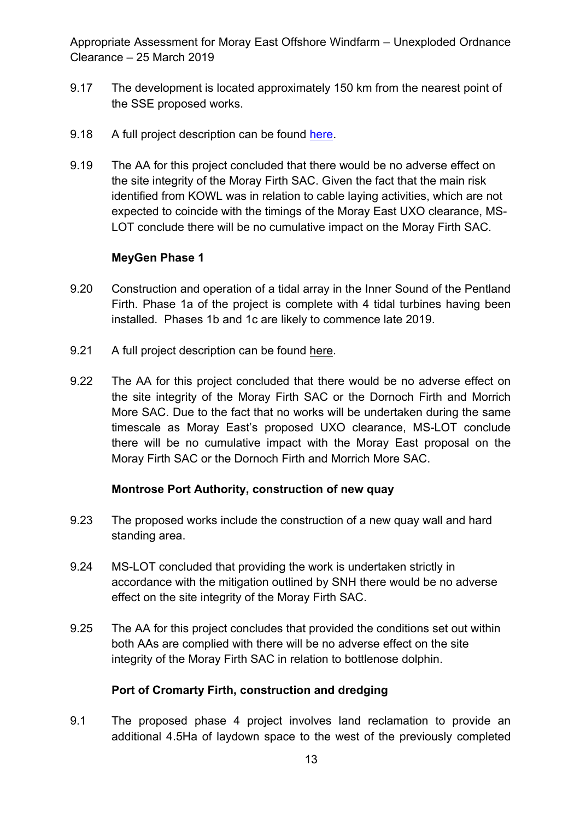- 9.17 The development is located approximately 150 km from the nearest point of the SSE proposed works.
- 9.18 A full project description can be found here.
- 9.19 The AA for this project concluded that there would be no adverse effect on the site integrity of the Moray Firth SAC. Given the fact that the main risk identified from KOWL was in relation to cable laying activities, which are not expected to coincide with the timings of the Moray East UXO clearance, MS-LOT conclude there will be no cumulative impact on the Moray Firth SAC.

#### **MeyGen Phase 1**

- 9.20 Construction and operation of a tidal array in the Inner Sound of the Pentland Firth. Phase 1a of the project is complete with 4 tidal turbines having been installed. Phases 1b and 1c are likely to commence late 2019.
- 9.21 A full project description can be found here.
- 9.22 The AA for this project concluded that there would be no adverse effect on the site integrity of the Moray Firth SAC or the Dornoch Firth and Morrich More SAC. Due to the fact that no works will be undertaken during the same timescale as Moray East's proposed UXO clearance, MS-LOT conclude there will be no cumulative impact with the Moray East proposal on the Moray Firth SAC or the Dornoch Firth and Morrich More SAC.

#### **Montrose Port Authority, construction of new quay**

- 9.23 The proposed works include the construction of a new quay wall and hard standing area.
- 9.24 MS-LOT concluded that providing the work is undertaken strictly in accordance with the mitigation outlined by SNH there would be no adverse effect on the site integrity of the Moray Firth SAC.
- 9.25 The AA for this project concludes that provided the conditions set out within both AAs are complied with there will be no adverse effect on the site integrity of the Moray Firth SAC in relation to bottlenose dolphin.

#### **Port of Cromarty Firth, construction and dredging**

9.1 The proposed phase 4 project involves land reclamation to provide an additional 4.5Ha of laydown space to the west of the previously completed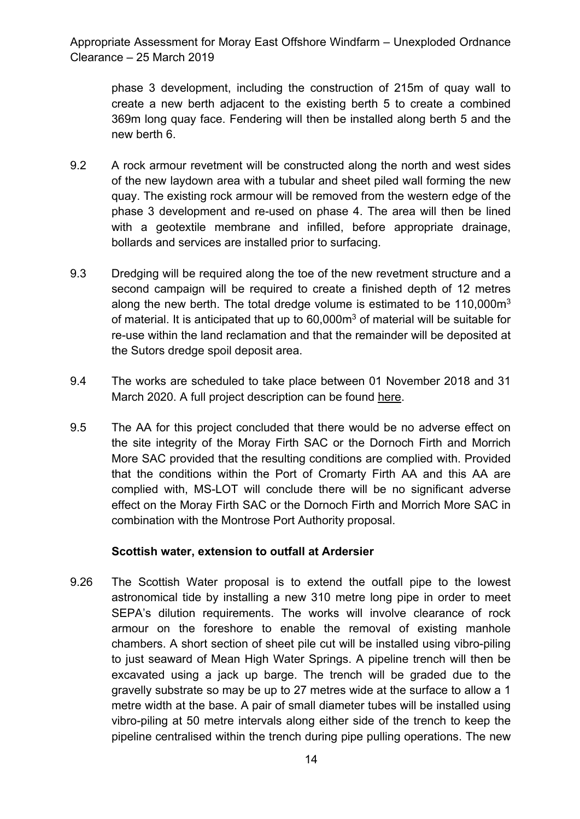phase 3 development, including the construction of 215m of quay wall to create a new berth adjacent to the existing berth 5 to create a combined 369m long quay face. Fendering will then be installed along berth 5 and the new berth 6.

- 9.2 A rock armour revetment will be constructed along the north and west sides of the new laydown area with a tubular and sheet piled wall forming the new quay. The existing rock armour will be removed from the western edge of the phase 3 development and re-used on phase 4. The area will then be lined with a geotextile membrane and infilled, before appropriate drainage, bollards and services are installed prior to surfacing.
- 9.3 Dredging will be required along the toe of the new revetment structure and a second campaign will be required to create a finished depth of 12 metres along the new berth. The total dredge volume is estimated to be 110,000m<sup>3</sup> of material. It is anticipated that up to 60,000m<sup>3</sup> of material will be suitable for re-use within the land reclamation and that the remainder will be deposited at the Sutors dredge spoil deposit area.
- 9.4 The works are scheduled to take place between 01 November 2018 and 31 March 2020. A full project description can be found here.
- 9.5 The AA for this project concluded that there would be no adverse effect on the site integrity of the Moray Firth SAC or the Dornoch Firth and Morrich More SAC provided that the resulting conditions are complied with. Provided that the conditions within the Port of Cromarty Firth AA and this AA are complied with, MS-LOT will conclude there will be no significant adverse effect on the Moray Firth SAC or the Dornoch Firth and Morrich More SAC in combination with the Montrose Port Authority proposal.

#### **Scottish water, extension to outfall at Ardersier**

9.26 The Scottish Water proposal is to extend the outfall pipe to the lowest astronomical tide by installing a new 310 metre long pipe in order to meet SEPA's dilution requirements. The works will involve clearance of rock armour on the foreshore to enable the removal of existing manhole chambers. A short section of sheet pile cut will be installed using vibro-piling to just seaward of Mean High Water Springs. A pipeline trench will then be excavated using a jack up barge. The trench will be graded due to the gravelly substrate so may be up to 27 metres wide at the surface to allow a 1 metre width at the base. A pair of small diameter tubes will be installed using vibro-piling at 50 metre intervals along either side of the trench to keep the pipeline centralised within the trench during pipe pulling operations. The new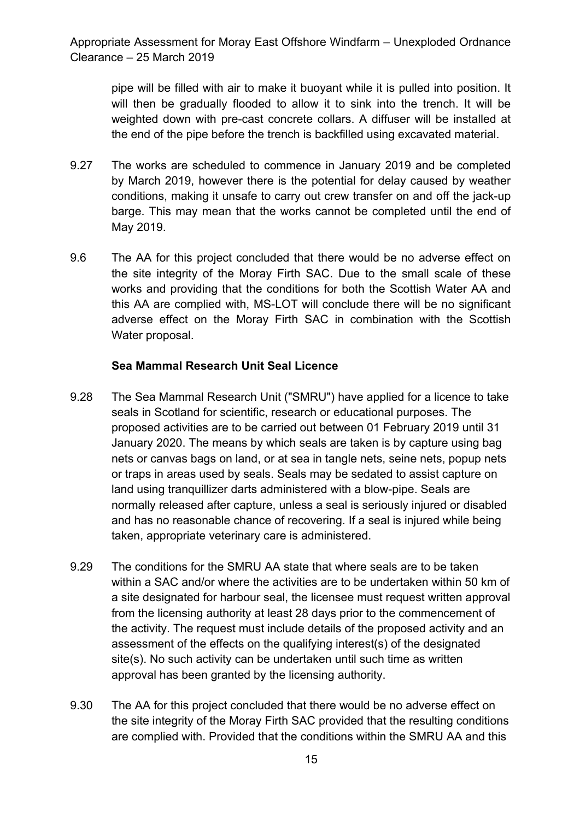pipe will be filled with air to make it buoyant while it is pulled into position. It will then be gradually flooded to allow it to sink into the trench. It will be weighted down with pre-cast concrete collars. A diffuser will be installed at the end of the pipe before the trench is backfilled using excavated material.

- 9.27 The works are scheduled to commence in January 2019 and be completed by March 2019, however there is the potential for delay caused by weather conditions, making it unsafe to carry out crew transfer on and off the jack-up barge. This may mean that the works cannot be completed until the end of May 2019.
- 9.6 The AA for this project concluded that there would be no adverse effect on the site integrity of the Moray Firth SAC. Due to the small scale of these works and providing that the conditions for both the Scottish Water AA and this AA are complied with, MS-LOT will conclude there will be no significant adverse effect on the Moray Firth SAC in combination with the Scottish Water proposal.

#### **Sea Mammal Research Unit Seal Licence**

- 9.28 The Sea Mammal Research Unit ("SMRU") have applied for a licence to take seals in Scotland for scientific, research or educational purposes. The proposed activities are to be carried out between 01 February 2019 until 31 January 2020. The means by which seals are taken is by capture using bag nets or canvas bags on land, or at sea in tangle nets, seine nets, popup nets or traps in areas used by seals. Seals may be sedated to assist capture on land using tranquillizer darts administered with a blow-pipe. Seals are normally released after capture, unless a seal is seriously injured or disabled and has no reasonable chance of recovering. If a seal is injured while being taken, appropriate veterinary care is administered.
- 9.29 The conditions for the SMRU AA state that where seals are to be taken within a SAC and/or where the activities are to be undertaken within 50 km of a site designated for harbour seal, the licensee must request written approval from the licensing authority at least 28 days prior to the commencement of the activity. The request must include details of the proposed activity and an assessment of the effects on the qualifying interest(s) of the designated site(s). No such activity can be undertaken until such time as written approval has been granted by the licensing authority.
- 9.30 The AA for this project concluded that there would be no adverse effect on the site integrity of the Moray Firth SAC provided that the resulting conditions are complied with. Provided that the conditions within the SMRU AA and this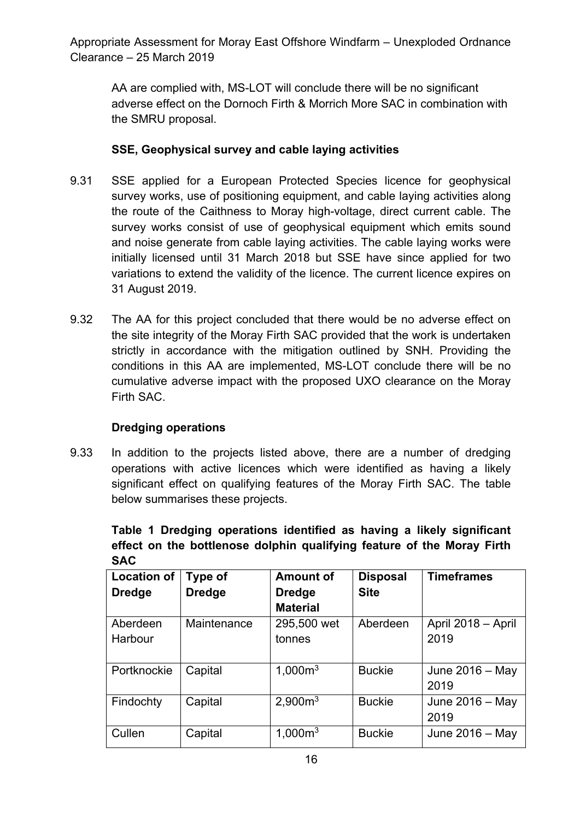AA are complied with, MS-LOT will conclude there will be no significant adverse effect on the Dornoch Firth & Morrich More SAC in combination with the SMRU proposal.

## **SSE, Geophysical survey and cable laying activities**

- 9.31 SSE applied for a European Protected Species licence for geophysical survey works, use of positioning equipment, and cable laying activities along the route of the Caithness to Moray high-voltage, direct current cable. The survey works consist of use of geophysical equipment which emits sound and noise generate from cable laying activities. The cable laying works were initially licensed until 31 March 2018 but SSE have since applied for two variations to extend the validity of the licence. The current licence expires on 31 August 2019.
- 9.32 The AA for this project concluded that there would be no adverse effect on the site integrity of the Moray Firth SAC provided that the work is undertaken strictly in accordance with the mitigation outlined by SNH. Providing the conditions in this AA are implemented, MS-LOT conclude there will be no cumulative adverse impact with the proposed UXO clearance on the Moray Firth SAC.

## **Dredging operations**

9.33 In addition to the projects listed above, there are a number of dredging operations with active licences which were identified as having a likely significant effect on qualifying features of the Moray Firth SAC. The table below summarises these projects.

**Table 1 Dredging operations identified as having a likely significant effect on the bottlenose dolphin qualifying feature of the Moray Firth SAC** 

| <b>Location of</b> | Type of       | <b>Amount of</b>    | <b>Disposal</b> | <b>Timeframes</b>  |
|--------------------|---------------|---------------------|-----------------|--------------------|
| <b>Dredge</b>      | <b>Dredge</b> | <b>Dredge</b>       | <b>Site</b>     |                    |
|                    |               | <b>Material</b>     |                 |                    |
| Aberdeen           | Maintenance   | 295,500 wet         | Aberdeen        | April 2018 - April |
| Harbour            |               | tonnes              |                 | 2019               |
|                    |               |                     |                 |                    |
| Portknockie        | Capital       | 1,000m <sup>3</sup> | <b>Buckie</b>   | June $2016 - May$  |
|                    |               |                     |                 | 2019               |
| Findochty          | Capital       | 2,900m <sup>3</sup> | <b>Buckie</b>   | June $2016 -$ May  |
|                    |               |                     |                 | 2019               |
| Cullen             | Capital       | 1,000m <sup>3</sup> | <b>Buckie</b>   | June 2016 - May    |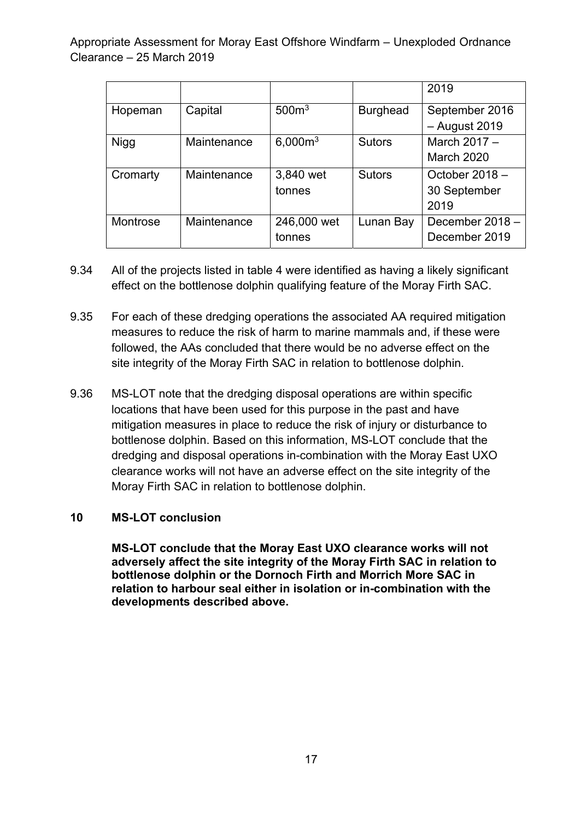|             |             |                     |                 | 2019              |
|-------------|-------------|---------------------|-----------------|-------------------|
| Hopeman     | Capital     | 500 <sup>m3</sup>   | <b>Burghead</b> | September 2016    |
|             |             |                     |                 | $-$ August 2019   |
| <b>Nigg</b> | Maintenance | 6,000m <sup>3</sup> | <b>Sutors</b>   | March $2017 -$    |
|             |             |                     |                 | <b>March 2020</b> |
| Cromarty    | Maintenance | 3,840 wet           | <b>Sutors</b>   | October $2018 -$  |
|             |             | tonnes              |                 | 30 September      |
|             |             |                     |                 | 2019              |
| Montrose    | Maintenance | 246,000 wet         | Lunan Bay       | December 2018 -   |
|             |             | tonnes              |                 | December 2019     |

- 9.34 All of the projects listed in table 4 were identified as having a likely significant effect on the bottlenose dolphin qualifying feature of the Moray Firth SAC.
- 9.35 For each of these dredging operations the associated AA required mitigation measures to reduce the risk of harm to marine mammals and, if these were followed, the AAs concluded that there would be no adverse effect on the site integrity of the Moray Firth SAC in relation to bottlenose dolphin.
- 9.36 MS-LOT note that the dredging disposal operations are within specific locations that have been used for this purpose in the past and have mitigation measures in place to reduce the risk of injury or disturbance to bottlenose dolphin. Based on this information, MS-LOT conclude that the dredging and disposal operations in-combination with the Moray East UXO clearance works will not have an adverse effect on the site integrity of the Moray Firth SAC in relation to bottlenose dolphin.

#### **10 MS-LOT conclusion**

**MS-LOT conclude that the Moray East UXO clearance works will not adversely affect the site integrity of the Moray Firth SAC in relation to bottlenose dolphin or the Dornoch Firth and Morrich More SAC in relation to harbour seal either in isolation or in-combination with the developments described above.**